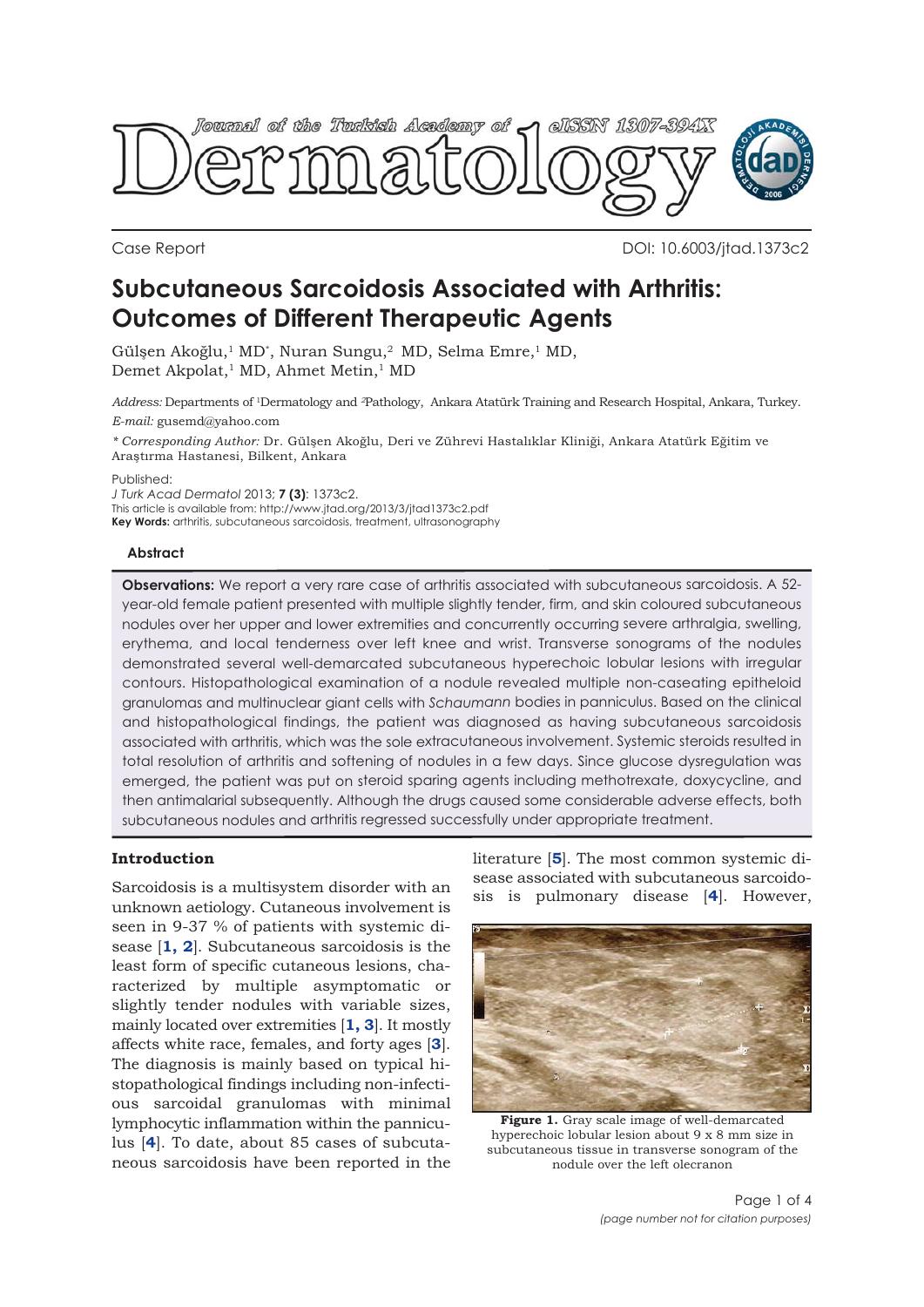

Case Report DOI: 10.6003/jtad.1373c2

# **Subcutaneous Sarcoidosis Associated with Arthritis: Outcomes of Different Therapeutic Agents**

Gülşen Akoğlu,<sup>1</sup> MD<sup>\*</sup>, Nuran Sungu,<sup>2</sup> MD, Selma Emre,<sup>1</sup> MD, Demet Akpolat,<sup>1</sup> MD, Ahmet Metin,<sup>1</sup> MD

*Address:* Departments of 1Dermatology and *<sup>2</sup>*Pathology, Ankara Atatürk Training and Research Hospital, Ankara, Turkey. *E-mail:* gusemd@yahoo.com

*\* Corresponding Author:* Dr. Gülşen Akoğlu, Deri ve Zührevi Hastalıklar Kliniği, Ankara Atatürk Eğitim ve Araştırma Hastanesi, Bilkent, Ankara

Published:

*J Turk Acad Dermatol* 2013; **7 (3)**: 1373c2. This article is available from: http://www.jtad.org/2013/3/jtad1373c2.pdf **Key Words:** arthritis, subcutaneous sarcoidosis, treatment, ultrasonography

## **Abstract**

**Observations:** We report a very rare case of arthritis associated with subcutaneous sarcoidosis. A 52 year-old female patient presented with multiple slightly tender, firm, and skin coloured subcutaneous nodules over her upper and lower extremities and concurrently occurring severe arthralgia, swelling, erythema, and local tenderness over left knee and wrist. Transverse sonograms of the nodules demonstrated several well-demarcated subcutaneous hyperechoic lobular lesions with irregular contours. Histopathological examination of a nodule revealed multiple non-caseating epitheloid granulomas and multinuclear giant cells with *Schaumann* bodies in panniculus. Based on the clinical and histopathological findings, the patient was diagnosed as having subcutaneous sarcoidosis associated with arthritis, which was the sole extracutaneous involvement. Systemic steroids resulted in total resolution of arthritis and softening of nodules in a few days. Since glucose dysregulation was emerged, the patient was put on steroid sparing agents including methotrexate, doxycycline, and then antimalarial subsequently. Although the drugs caused some considerable adverse effects, both subcutaneous nodules and arthritis regressed successfully under appropriate treatment.

## **Introduction**

Sarcoidosis is a multisystem disorder with an unknown aetiology. Cutaneous involvement is seen in 9-37 % of patients with systemic disease [**1, 2**]. Subcutaneous sarcoidosis is the least form of specific cutaneous lesions, characterized by multiple asymptomatic or slightly tender nodules with variable sizes, mainly located over extremities [**1, 3**]. It mostly affects white race, females, and forty ages [**3**]. The diagnosis is mainly based on typical histopathological findings including non-infectious sarcoidal granulomas with minimal lymphocytic inflammation within the panniculus [**4**]. To date, about 85 cases of subcutaneous sarcoidosis have been reported in the literature [**5**]. The most common systemic disease associated with subcutaneous sarcoidosis is pulmonary disease [**4**]. However,



**Figure 1.** Gray scale image of well-demarcated hyperechoic lobular lesion about 9 x 8 mm size in subcutaneous tissue in transverse sonogram of the nodule over the left olecranon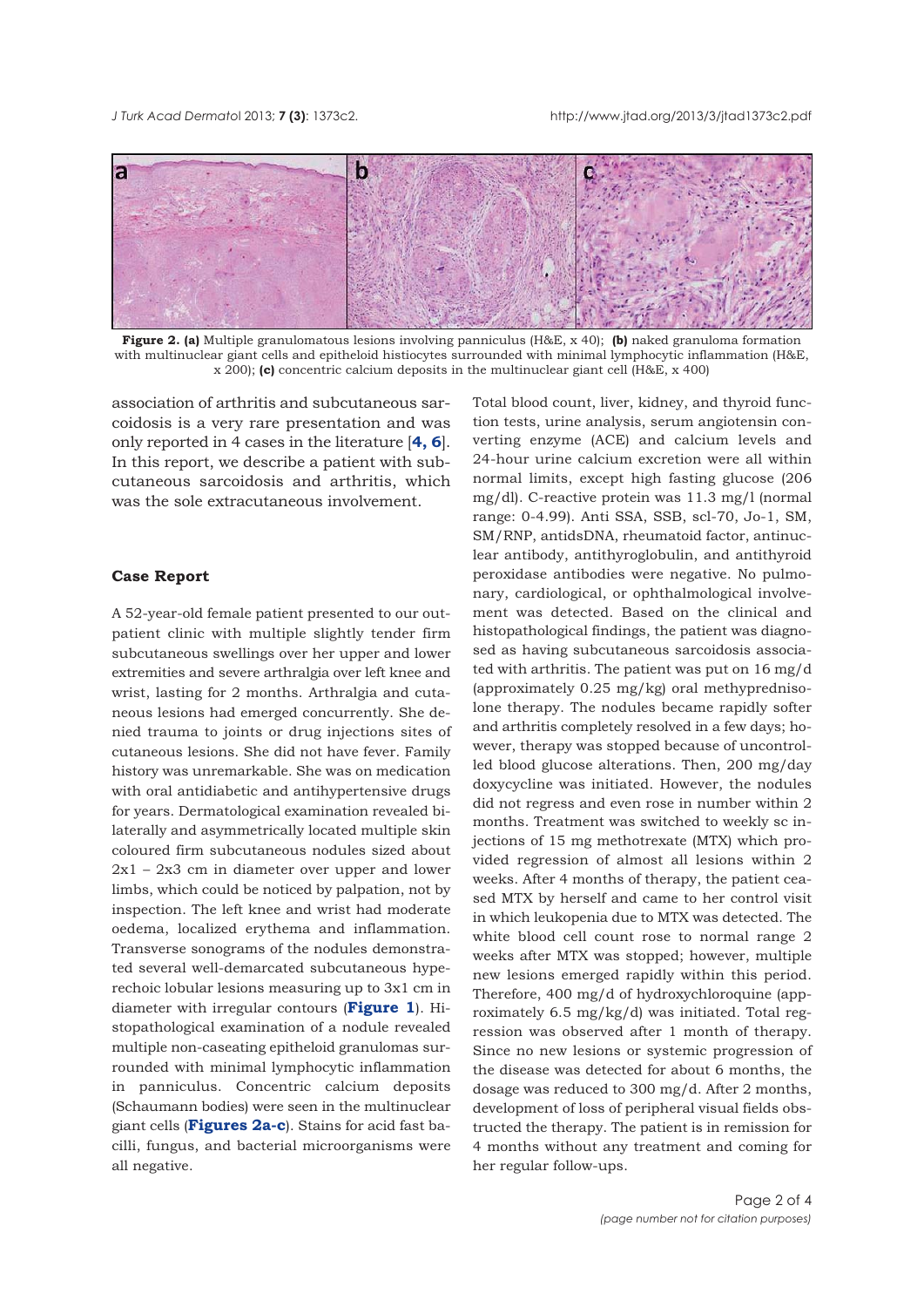

**Figure 2. (a)** Multiple granulomatous lesions involving panniculus (H&E, x 40); **(b)** naked granuloma formation with multinuclear giant cells and epitheloid histiocytes surrounded with minimal lymphocytic inflammation (H&E, x 200); **(c)** concentric calcium deposits in the multinuclear giant cell (H&E, x 400)

association of arthritis and subcutaneous sarcoidosis is a very rare presentation and was only reported in 4 cases in the literature [**4, 6**]. In this report, we describe a patient with subcutaneous sarcoidosis and arthritis, which was the sole extracutaneous involvement.

#### **Case Report**

A 52-year-old female patient presented to our outpatient clinic with multiple slightly tender firm subcutaneous swellings over her upper and lower extremities and severe arthralgia over left knee and wrist, lasting for 2 months. Arthralgia and cutaneous lesions had emerged concurrently. She denied trauma to joints or drug injections sites of cutaneous lesions. She did not have fever. Family history was unremarkable. She was on medication with oral antidiabetic and antihypertensive drugs for years. Dermatological examination revealed bilaterally and asymmetrically located multiple skin coloured firm subcutaneous nodules sized about 2x1 – 2x3 cm in diameter over upper and lower limbs, which could be noticed by palpation, not by inspection. The left knee and wrist had moderate oedema, localized erythema and inflammation. Transverse sonograms of the nodules demonstrated several well-demarcated subcutaneous hyperechoic lobular lesions measuring up to 3x1 cm in diameter with irregular contours (**Figure 1**). Histopathological examination of a nodule revealed multiple non-caseating epitheloid granulomas surrounded with minimal lymphocytic inflammation in panniculus. Concentric calcium deposits (Schaumann bodies) were seen in the multinuclear giant cells (**Figures 2a-c**). Stains for acid fast bacilli, fungus, and bacterial microorganisms were all negative.

Total blood count, liver, kidney, and thyroid function tests, urine analysis, serum angiotensin converting enzyme (ACE) and calcium levels and 24-hour urine calcium excretion were all within normal limits, except high fasting glucose (206 mg/dl). C-reactive protein was 11.3 mg/l (normal range: 0-4.99). Anti SSA, SSB, scl-70, Jo-1, SM, SM/RNP, antidsDNA, rheumatoid factor, antinuclear antibody, antithyroglobulin, and antithyroid peroxidase antibodies were negative. No pulmonary, cardiological, or ophthalmological involvement was detected. Based on the clinical and histopathological findings, the patient was diagnosed as having subcutaneous sarcoidosis associated with arthritis. The patient was put on 16 mg/d (approximately 0.25 mg/kg) oral methyprednisolone therapy. The nodules became rapidly softer and arthritis completely resolved in a few days; however, therapy was stopped because of uncontrolled blood glucose alterations. Then, 200 mg/day doxycycline was initiated. However, the nodules did not regress and even rose in number within 2 months. Treatment was switched to weekly sc injections of 15 mg methotrexate (MTX) which provided regression of almost all lesions within 2 weeks. After 4 months of therapy, the patient ceased MTX by herself and came to her control visit in which leukopenia due to MTX was detected. The white blood cell count rose to normal range 2 weeks after MTX was stopped; however, multiple new lesions emerged rapidly within this period. Therefore, 400 mg/d of hydroxychloroquine (approximately 6.5 mg/kg/d) was initiated. Total regression was observed after 1 month of therapy. Since no new lesions or systemic progression of the disease was detected for about 6 months, the dosage was reduced to 300 mg/d. After 2 months, development of loss of peripheral visual fields obstructed the therapy. The patient is in remission for 4 months without any treatment and coming for her regular follow-ups.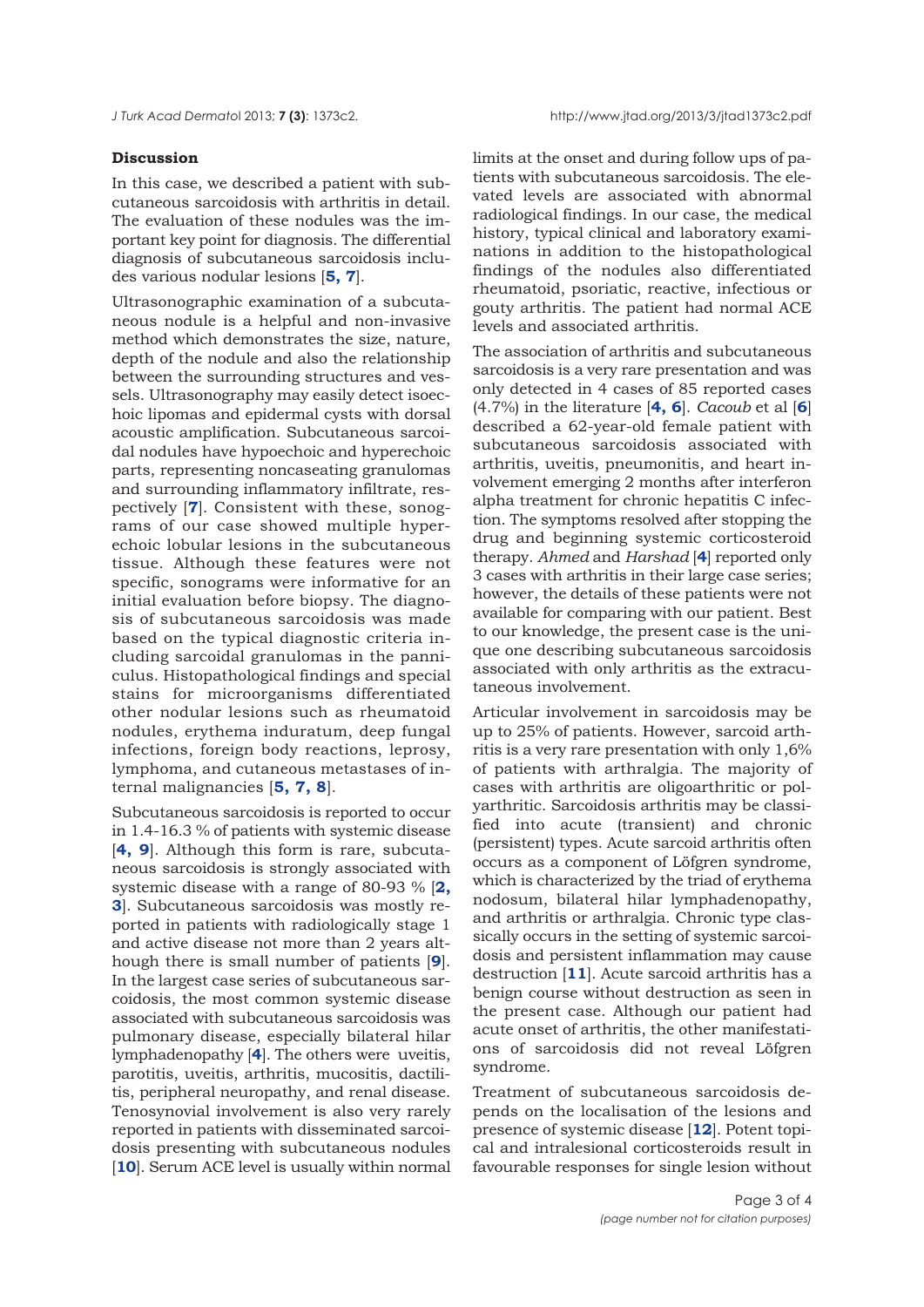## **Discussion**

In this case, we described a patient with subcutaneous sarcoidosis with arthritis in detail. The evaluation of these nodules was the important key point for diagnosis. The differential diagnosis of subcutaneous sarcoidosis includes various nodular lesions [**5, 7**].

Ultrasonographic examination of a subcutaneous nodule is a helpful and non-invasive method which demonstrates the size, nature, depth of the nodule and also the relationship between the surrounding structures and vessels. Ultrasonography may easily detect isoechoic lipomas and epidermal cysts with dorsal acoustic amplification. Subcutaneous sarcoidal nodules have hypoechoic and hyperechoic parts, representing noncaseating granulomas and surrounding inflammatory infiltrate, respectively [**7**]. Consistent with these, sonograms of our case showed multiple hyperechoic lobular lesions in the subcutaneous tissue. Although these features were not specific, sonograms were informative for an initial evaluation before biopsy. The diagnosis of subcutaneous sarcoidosis was made based on the typical diagnostic criteria including sarcoidal granulomas in the panniculus. Histopathological findings and special stains for microorganisms differentiated other nodular lesions such as rheumatoid nodules, erythema induratum, deep fungal infections, foreign body reactions, leprosy, lymphoma, and cutaneous metastases of internal malignancies [**5, 7, 8**].

Subcutaneous sarcoidosis is reported to occur in 1.4-16.3 % of patients with systemic disease [**4, 9**]. Although this form is rare, subcutaneous sarcoidosis is strongly associated with systemic disease with a range of 80-93 % [**2, 3**]. Subcutaneous sarcoidosis was mostly reported in patients with radiologically stage 1 and active disease not more than 2 years although there is small number of patients [**9**]. In the largest case series of subcutaneous sarcoidosis, the most common systemic disease associated with subcutaneous sarcoidosis was pulmonary disease, especially bilateral hilar lymphadenopathy [**4**]. The others were uveitis, parotitis, uveitis, arthritis, mucositis, dactilitis, peripheral neuropathy, and renal disease. Tenosynovial involvement is also very rarely reported in patients with disseminated sarcoidosis presenting with subcutaneous nodules [10]. Serum ACE level is usually within normal

limits at the onset and during follow ups of patients with subcutaneous sarcoidosis. The elevated levels are associated with abnormal radiological findings. In our case, the medical history, typical clinical and laboratory examinations in addition to the histopathological findings of the nodules also differentiated rheumatoid, psoriatic, reactive, infectious or gouty arthritis. The patient had normal ACE levels and associated arthritis.

The association of arthritis and subcutaneous sarcoidosis is a very rare presentation and was only detected in 4 cases of 85 reported cases (4.7%) in the literature [**4, 6**]. *Cacoub* et al [**6**] described a 62-year-old female patient with subcutaneous sarcoidosis associated with arthritis, uveitis, pneumonitis, and heart involvement emerging 2 months after interferon alpha treatment for chronic hepatitis C infection. The symptoms resolved after stopping the drug and beginning systemic corticosteroid therapy. *Ahmed* and *Harshad* [**4**] reported only 3 cases with arthritis in their large case series; however, the details of these patients were not available for comparing with our patient. Best to our knowledge, the present case is the unique one describing subcutaneous sarcoidosis associated with only arthritis as the extracutaneous involvement.

Articular involvement in sarcoidosis may be up to 25% of patients. However, sarcoid arthritis is a very rare presentation with only 1,6% of patients with arthralgia. The majority of cases with arthritis are oligoarthritic or polyarthritic. Sarcoidosis arthritis may be classified into acute (transient) and chronic (persistent) types. Acute sarcoid arthritis often occurs as a component of Löfgren syndrome, which is characterized by the triad of erythema nodosum, bilateral hilar lymphadenopathy, and arthritis or arthralgia. Chronic type classically occurs in the setting of systemic sarcoidosis and persistent inflammation may cause destruction [**11**]. Acute sarcoid arthritis has a benign course without destruction as seen in the present case. Although our patient had acute onset of arthritis, the other manifestations of sarcoidosis did not reveal Löfgren syndrome.

Treatment of subcutaneous sarcoidosis depends on the localisation of the lesions and presence of systemic disease [**12**]. Potent topical and intralesional corticosteroids result in favourable responses for single lesion without